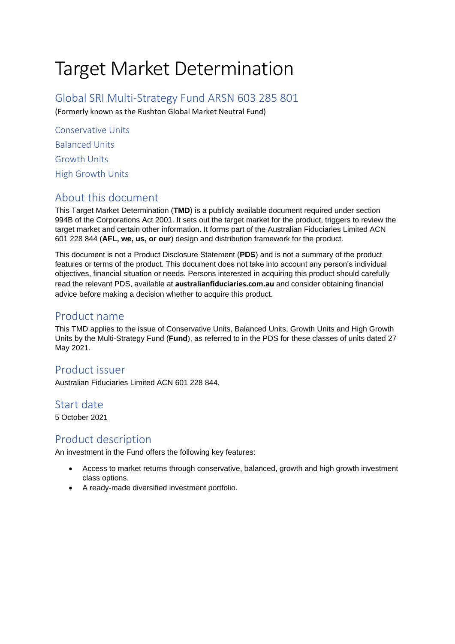# Target Market Determination

Global SRI Multi-Strategy Fund ARSN 603 285 801

(Formerly known as the Rushton Global Market Neutral Fund)

Conservative Units Balanced Units Growth Units High Growth Units

## About this document

This Target Market Determination (**TMD**) is a publicly available document required under section 994B of the Corporations Act 2001. It sets out the target market for the product, triggers to review the target market and certain other information. It forms part of the Australian Fiduciaries Limited ACN 601 228 844 (**AFL, we, us, or our**) design and distribution framework for the product.

This document is not a Product Disclosure Statement (**PDS**) and is not a summary of the product features or terms of the product. This document does not take into account any person's individual objectives, financial situation or needs. Persons interested in acquiring this product should carefully read the relevant [PDS,](https://www.cfs.com.au/content/dam/prospects/fs/0/7/fs078.pdf) available at **[australianfiduciaries.com.au](https://www.globalsri.com.au/)** and consider obtaining financial advice before making a decision whether to acquire this product.

## Product name

This TMD applies to the issue of Conservative Units, Balanced Units, Growth Units and High Growth Units by the Multi-Strategy Fund (**Fund**), as referred to in the PDS for these classes of units dated 27 May 2021.

# Product issuer

Australian Fiduciaries Limited ACN 601 228 844.

## Start date

5 October 2021

## Product description

An investment in the Fund offers the following key features:

- Access to market returns through conservative, balanced, growth and high growth investment class options.
- A ready-made diversified investment portfolio.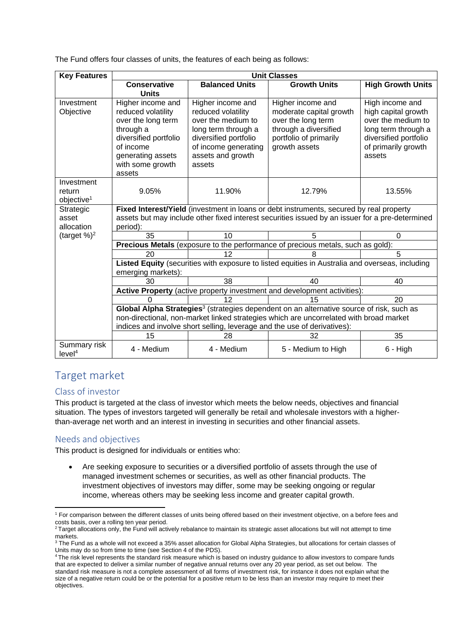The Fund offers four classes of units, the features of each being as follows:

| <b>Key Features</b>                            | <b>Unit Classes</b>                                                                                                                                                                                                                                                        |                                                                                                                                                                      |                                                                                                                                        |                                                                                                                                               |  |  |
|------------------------------------------------|----------------------------------------------------------------------------------------------------------------------------------------------------------------------------------------------------------------------------------------------------------------------------|----------------------------------------------------------------------------------------------------------------------------------------------------------------------|----------------------------------------------------------------------------------------------------------------------------------------|-----------------------------------------------------------------------------------------------------------------------------------------------|--|--|
|                                                | Conservative                                                                                                                                                                                                                                                               | <b>Balanced Units</b>                                                                                                                                                | <b>Growth Units</b>                                                                                                                    | <b>High Growth Units</b>                                                                                                                      |  |  |
| Investment<br>Objective                        | <b>Units</b><br>Higher income and<br>reduced volatility<br>over the long term<br>through a<br>diversified portfolio<br>of income<br>generating assets<br>with some growth<br>assets                                                                                        | Higher income and<br>reduced volatility<br>over the medium to<br>long term through a<br>diversified portfolio<br>of income generating<br>assets and growth<br>assets | Higher income and<br>moderate capital growth<br>over the long term<br>through a diversified<br>portfolio of primarily<br>growth assets | High income and<br>high capital growth<br>over the medium to<br>long term through a<br>diversified portfolio<br>of primarily growth<br>assets |  |  |
| Investment<br>return<br>objective <sup>1</sup> | 9.05%                                                                                                                                                                                                                                                                      | 11.90%                                                                                                                                                               | 12.79%                                                                                                                                 | 13.55%                                                                                                                                        |  |  |
| Strategic<br>asset<br>allocation               | Fixed Interest/Yield (investment in loans or debt instruments, secured by real property<br>assets but may include other fixed interest securities issued by an issuer for a pre-determined<br>period):                                                                     |                                                                                                                                                                      |                                                                                                                                        |                                                                                                                                               |  |  |
| (target $\%$ ) <sup>2</sup>                    | 35                                                                                                                                                                                                                                                                         | 10                                                                                                                                                                   | 5                                                                                                                                      | $\Omega$                                                                                                                                      |  |  |
|                                                | Precious Metals (exposure to the performance of precious metals, such as gold):                                                                                                                                                                                            |                                                                                                                                                                      |                                                                                                                                        |                                                                                                                                               |  |  |
|                                                | 20                                                                                                                                                                                                                                                                         | 12                                                                                                                                                                   | 8                                                                                                                                      | 5                                                                                                                                             |  |  |
|                                                | Listed Equity (securities with exposure to listed equities in Australia and overseas, including<br>emerging markets):                                                                                                                                                      |                                                                                                                                                                      |                                                                                                                                        |                                                                                                                                               |  |  |
|                                                | 30                                                                                                                                                                                                                                                                         | 38                                                                                                                                                                   | 40                                                                                                                                     | 40                                                                                                                                            |  |  |
|                                                | Active Property (active property investment and development activities):                                                                                                                                                                                                   |                                                                                                                                                                      |                                                                                                                                        |                                                                                                                                               |  |  |
|                                                | 0                                                                                                                                                                                                                                                                          | 12                                                                                                                                                                   | 15                                                                                                                                     | 20                                                                                                                                            |  |  |
|                                                | Global Alpha Strategies <sup>3</sup> (strategies dependent on an alternative source of risk, such as<br>non-directional, non-market linked strategies which are uncorrelated with broad market<br>indices and involve short selling, leverage and the use of derivatives): |                                                                                                                                                                      |                                                                                                                                        |                                                                                                                                               |  |  |
|                                                | 15                                                                                                                                                                                                                                                                         | 28                                                                                                                                                                   | 32                                                                                                                                     | 35                                                                                                                                            |  |  |
| Summary risk<br>level <sup>4</sup>             | 4 - Medium                                                                                                                                                                                                                                                                 | 4 - Medium                                                                                                                                                           | 5 - Medium to High                                                                                                                     | $6 - High$                                                                                                                                    |  |  |

## Target market

#### Class of investor

This product is targeted at the class of investor which meets the below needs, objectives and financial situation. The types of investors targeted will generally be retail and wholesale investors with a higherthan-average net worth and an interest in investing in securities and other financial assets.

#### Needs and objectives

This product is designed for individuals or entities who:

• Are seeking exposure to securities or a diversified portfolio of assets through the use of managed investment schemes or securities, as well as other financial products. The investment objectives of investors may differ, some may be seeking ongoing or regular income, whereas others may be seeking less income and greater capital growth.

<sup>1</sup> For comparison between the different classes of units being offered based on their investment objective, on a before fees and costs basis, over a rolling ten year period.

<sup>&</sup>lt;sup>2</sup> Target allocations only, the Fund will actively rebalance to maintain its strategic asset allocations but will not attempt to time markets.

<sup>&</sup>lt;sup>3</sup> The Fund as a whole will not exceed a 35% asset allocation for Global Alpha Strategies, but allocations for certain classes of Units may do so from time to time (see Section 4 of the PDS).

The risk level represents the standard risk measure which is based on industry guidance to allow investors to compare funds that are expected to deliver a similar number of negative annual returns over any 20 year period, as set out below. The standard risk measure is not a complete assessment of all forms of investment risk, for instance it does not explain what the size of a negative return could be or the potential for a positive return to be less than an investor may require to meet their objectives.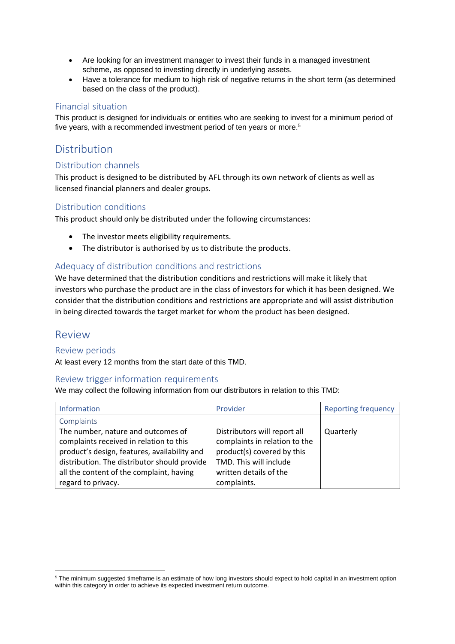- Are looking for an investment manager to invest their funds in a managed investment scheme, as opposed to investing directly in underlying assets.
- Have a tolerance for medium to high risk of negative returns in the short term (as determined based on the class of the product).

#### Financial situation

This product is designed for individuals or entities who are seeking to invest for a minimum period of five years, with a recommended investment period of ten years or more.<sup>5</sup>

## Distribution

#### Distribution channels

This product is designed to be distributed by AFL through its own network of clients as well as licensed financial planners and dealer groups.

#### Distribution conditions

This product should only be distributed under the following circumstances:

- The investor meets eligibility requirements.
- The distributor is authorised by us to distribute the products.

#### Adequacy of distribution conditions and restrictions

We have determined that the distribution conditions and restrictions will make it likely that investors who purchase the product are in the class of investors for which it has been designed. We consider that the distribution conditions and restrictions are appropriate and will assist distribution in being directed towards the target market for whom the product has been designed.

### Review

#### Review periods

At least every 12 months from the start date of this TMD.

#### Review trigger information requirements

We may collect the following information from our distributors in relation to this TMD:

| <b>Information</b>                                                                                                                                                                                                        | Provider                                                                                                                                        | <b>Reporting frequency</b> |
|---------------------------------------------------------------------------------------------------------------------------------------------------------------------------------------------------------------------------|-------------------------------------------------------------------------------------------------------------------------------------------------|----------------------------|
| Complaints                                                                                                                                                                                                                |                                                                                                                                                 |                            |
| The number, nature and outcomes of<br>complaints received in relation to this<br>product's design, features, availability and<br>distribution. The distributor should provide<br>all the content of the complaint, having | Distributors will report all<br>complaints in relation to the<br>product(s) covered by this<br>TMD. This will include<br>written details of the | Quarterly                  |
| regard to privacy.                                                                                                                                                                                                        | complaints.                                                                                                                                     |                            |

<sup>&</sup>lt;sup>5</sup> The minimum suggested timeframe is an estimate of how long investors should expect to hold capital in an investment option within this category in order to achieve its expected investment return outcome.